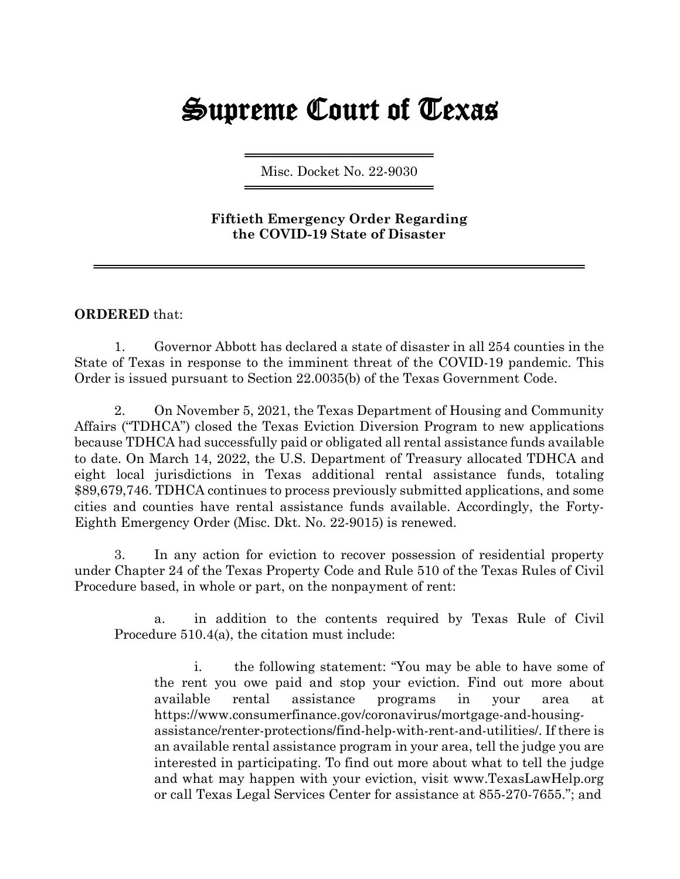## Supreme Court of Texas

════════════════════ Misc. Docket No. 22-9030 ════════════════════

**Fiftieth Emergency Order Regarding the COVID-19 State of Disaster**

════════════════════════════════════════════════════

## **ORDERED** that:

1. Governor Abbott has declared a state of disaster in all 254 counties in the State of Texas in response to the imminent threat of the COVID-19 pandemic. This Order is issued pursuant to Section 22.0035(b) of the Texas Government Code.

2. On November 5, 2021, the Texas Department of Housing and Community Affairs ("TDHCA") closed the Texas Eviction Diversion Program to new applications because TDHCA had successfully paid or obligated all rental assistance funds available to date. On March 14, 2022, the U.S. Department of Treasury allocated TDHCA and eight local jurisdictions in Texas additional rental assistance funds, totaling \$89,679,746. TDHCA continues to process previously submitted applications, and some cities and counties have rental assistance funds available. Accordingly, the Forty-Eighth Emergency Order (Misc. Dkt. No. 22-9015) is renewed.

3. In any action for eviction to recover possession of residential property under Chapter 24 of the Texas Property Code and Rule 510 of the Texas Rules of Civil Procedure based, in whole or part, on the nonpayment of rent:

a. in addition to the contents required by Texas Rule of Civil Procedure 510.4(a), the citation must include:

i. the following statement: "You may be able to have some of the rent you owe paid and stop your eviction. Find out more about available rental assistance programs in your area at https://www.consumerfinance.gov/coronavirus/mortgage-and-housingassistance/renter-protections/find-help-with-rent-and-utilities/. If there is an available rental assistance program in your area, tell the judge you are interested in participating. To find out more about what to tell the judge and what may happen with your eviction, visit [www.TexasLawHelp.org](http://www.texaslawhelp.org/) or call Texas Legal Services Center for assistance at 855-270-7655."; and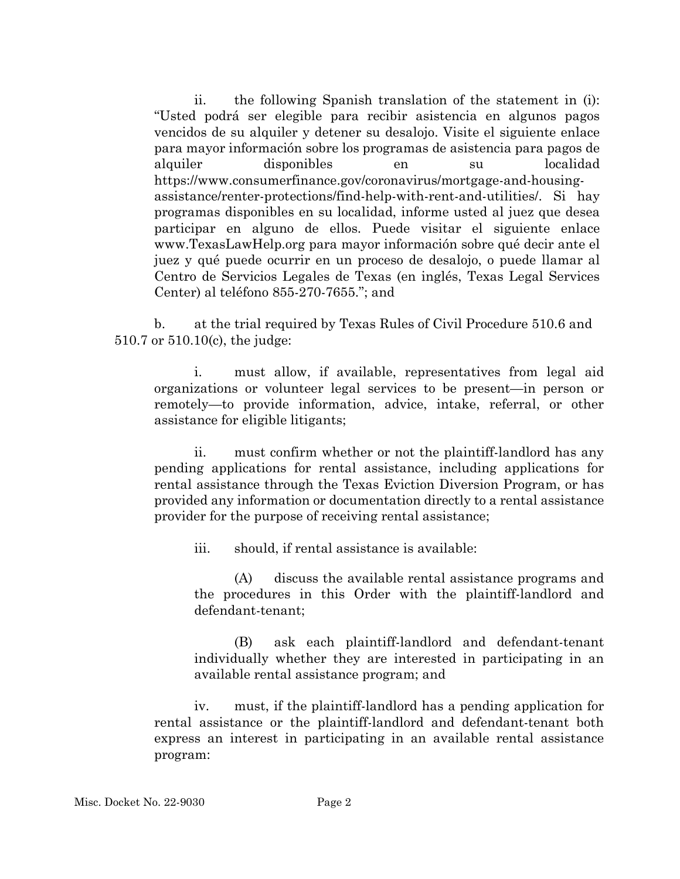ii. the following Spanish translation of the statement in (i): "Usted podrá ser elegible para recibir asistencia en algunos pagos vencidos de su alquiler y detener su desalojo. Visite el siguiente enlace para mayor información sobre los programas de asistencia para pagos de alquiler disponibles en su localidad https://www.consumerfinance.gov/coronavirus/mortgage-and-housingassistance/renter-protections/find-help-with-rent-and-utilities/. Si hay programas disponibles en su localidad, informe usted al juez que desea participar en alguno de ellos. Puede visitar el siguiente enlace www.TexasLawHelp.org para mayor información sobre qué decir ante el juez y qué puede ocurrir en un proceso de desalojo, o puede llamar al Centro de Servicios Legales de Texas (en inglés, Texas Legal Services Center) al teléfono 855-270-7655."; and

b. at the trial required by Texas Rules of Civil Procedure 510.6 and 510.7 or 510.10(c), the judge:

i. must allow, if available, representatives from legal aid organizations or volunteer legal services to be present—in person or remotely—to provide information, advice, intake, referral, or other assistance for eligible litigants;

ii. must confirm whether or not the plaintiff-landlord has any pending applications for rental assistance, including applications for rental assistance through the Texas Eviction Diversion Program, or has provided any information or documentation directly to a rental assistance provider for the purpose of receiving rental assistance;

iii. should, if rental assistance is available:

(A) discuss the available rental assistance programs and the procedures in this Order with the plaintiff-landlord and defendant-tenant;

(B) ask each plaintiff-landlord and defendant-tenant individually whether they are interested in participating in an available rental assistance program; and

iv. must, if the plaintiff-landlord has a pending application for rental assistance or the plaintiff-landlord and defendant-tenant both express an interest in participating in an available rental assistance program: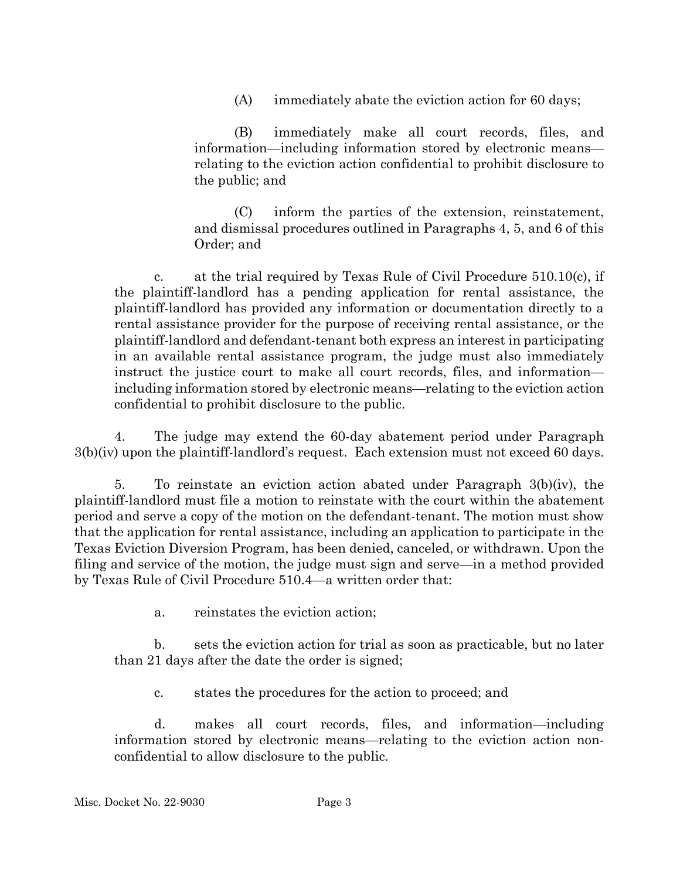(A) immediately abate the eviction action for 60 days;

(B) immediately make all court records, files, and information—including information stored by electronic means relating to the eviction action confidential to prohibit disclosure to the public; and

(C) inform the parties of the extension, reinstatement, and dismissal procedures outlined in Paragraphs 4, 5, and 6 of this Order; and

c. at the trial required by Texas Rule of Civil Procedure  $510.10(c)$ , if the plaintiff-landlord has a pending application for rental assistance, the plaintiff-landlord has provided any information or documentation directly to a rental assistance provider for the purpose of receiving rental assistance, or the plaintiff-landlord and defendant-tenant both express an interest in participating in an available rental assistance program, the judge must also immediately instruct the justice court to make all court records, files, and information including information stored by electronic means—relating to the eviction action confidential to prohibit disclosure to the public.

4. The judge may extend the 60-day abatement period under Paragraph 3(b)(iv) upon the plaintiff-landlord's request. Each extension must not exceed 60 days.

5. To reinstate an eviction action abated under Paragraph 3(b)(iv), the plaintiff-landlord must file a motion to reinstate with the court within the abatement period and serve a copy of the motion on the defendant-tenant. The motion must show that the application for rental assistance, including an application to participate in the Texas Eviction Diversion Program, has been denied, canceled, or withdrawn. Upon the filing and service of the motion, the judge must sign and serve—in a method provided by Texas Rule of Civil Procedure 510.4—a written order that:

a. reinstates the eviction action;

b. sets the eviction action for trial as soon as practicable, but no later than 21 days after the date the order is signed;

c. states the procedures for the action to proceed; and

d. makes all court records, files, and information—including information stored by electronic means—relating to the eviction action nonconfidential to allow disclosure to the public.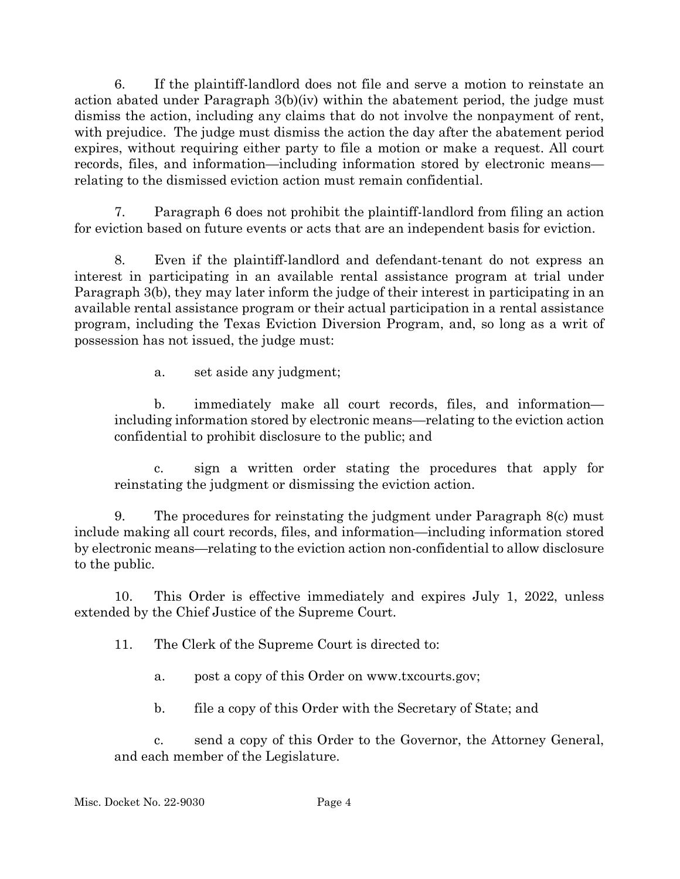6. If the plaintiff-landlord does not file and serve a motion to reinstate an action abated under Paragraph 3(b)(iv) within the abatement period, the judge must dismiss the action, including any claims that do not involve the nonpayment of rent, with prejudice. The judge must dismiss the action the day after the abatement period expires, without requiring either party to file a motion or make a request. All court records, files, and information—including information stored by electronic means relating to the dismissed eviction action must remain confidential.

7. Paragraph 6 does not prohibit the plaintiff-landlord from filing an action for eviction based on future events or acts that are an independent basis for eviction.

8. Even if the plaintiff-landlord and defendant-tenant do not express an interest in participating in an available rental assistance program at trial under Paragraph 3(b), they may later inform the judge of their interest in participating in an available rental assistance program or their actual participation in a rental assistance program, including the Texas Eviction Diversion Program, and, so long as a writ of possession has not issued, the judge must:

a. set aside any judgment;

b. immediately make all court records, files, and information including information stored by electronic means—relating to the eviction action confidential to prohibit disclosure to the public; and

c. sign a written order stating the procedures that apply for reinstating the judgment or dismissing the eviction action.

9. The procedures for reinstating the judgment under Paragraph 8(c) must include making all court records, files, and information—including information stored by electronic means—relating to the eviction action non-confidential to allow disclosure to the public.

10. This Order is effective immediately and expires July 1, 2022, unless extended by the Chief Justice of the Supreme Court.

11. The Clerk of the Supreme Court is directed to:

- a. post a copy of this Order on www.txcourts.gov;
- b. file a copy of this Order with the Secretary of State; and

c. send a copy of this Order to the Governor, the Attorney General, and each member of the Legislature.